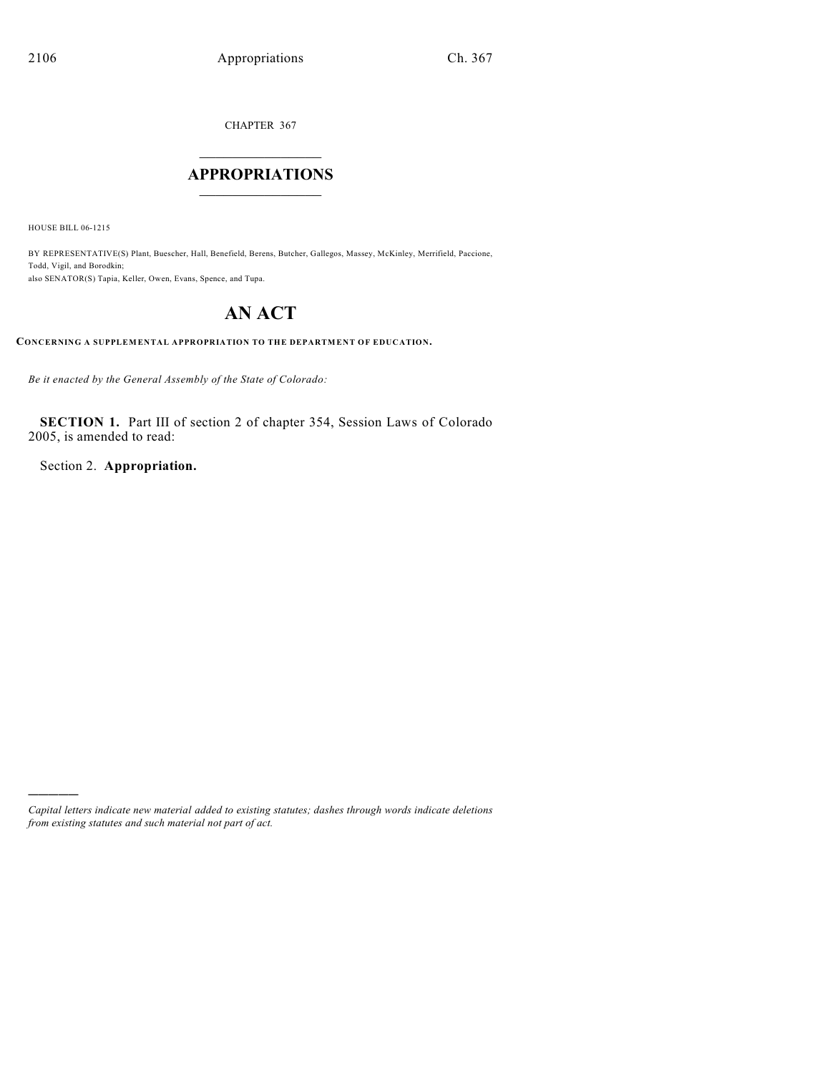CHAPTER 367

# $\mathcal{L}_\text{max}$  . The set of the set of the set of the set of the set of the set of the set of the set of the set of the set of the set of the set of the set of the set of the set of the set of the set of the set of the set **APPROPRIATIONS**  $\_$   $\_$   $\_$   $\_$   $\_$   $\_$   $\_$   $\_$

HOUSE BILL 06-1215

)))))

BY REPRESENTATIVE(S) Plant, Buescher, Hall, Benefield, Berens, Butcher, Gallegos, Massey, McKinley, Merrifield, Paccione, Todd, Vigil, and Borodkin; also SENATOR(S) Tapia, Keller, Owen, Evans, Spence, and Tupa.

# **AN ACT**

**CONCERNING A SUPPLEMENTAL APPROPRIATION TO THE DEPARTMENT OF EDUCATION.**

*Be it enacted by the General Assembly of the State of Colorado:*

**SECTION 1.** Part III of section 2 of chapter 354, Session Laws of Colorado 2005, is amended to read:

Section 2. **Appropriation.**

*Capital letters indicate new material added to existing statutes; dashes through words indicate deletions from existing statutes and such material not part of act.*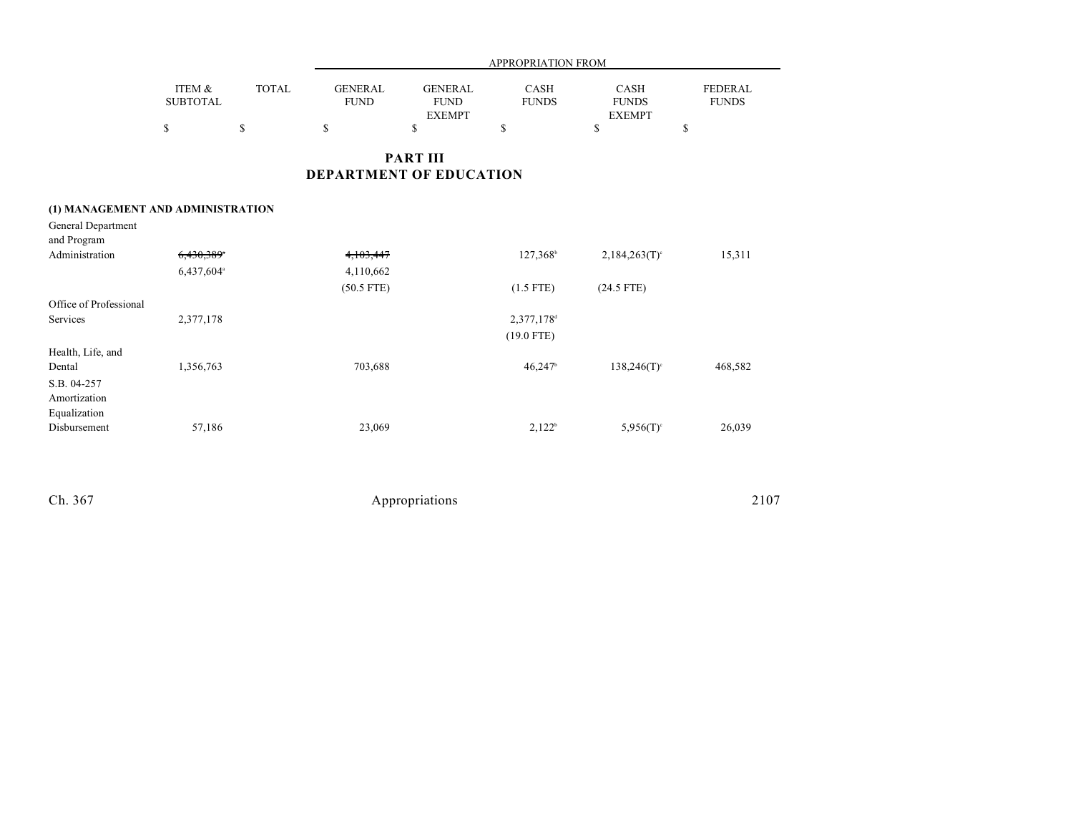|                 | <b>APPROPRIATION FROM</b> |             |               |              |               |                |  |  |
|-----------------|---------------------------|-------------|---------------|--------------|---------------|----------------|--|--|
| ITEM &          | <b>TOTAL</b>              | GENERAL     | GENERAL       | <b>CASH</b>  | <b>CASH</b>   | <b>FEDERAL</b> |  |  |
| <b>SUBTOTAL</b> |                           | <b>FUND</b> | <b>FUND</b>   | <b>FUNDS</b> | <b>FUNDS</b>  | <b>FUNDS</b>   |  |  |
|                 |                           |             | <b>EXEMPT</b> |              | <b>EXEMPT</b> |                |  |  |
|                 |                           |             |               |              |               |                |  |  |
|                 |                           |             |               |              |               |                |  |  |

### **PART III DEPARTMENT OF EDUCATION**

### **(1) MANAGEMENT AND ADMINISTRATION**

| General Department     |                        |              |                        |                             |         |
|------------------------|------------------------|--------------|------------------------|-----------------------------|---------|
| and Program            |                        |              |                        |                             |         |
| Administration         | 6,430,389*             | 4,103,447    | 127,368 <sup>b</sup>   | $2,184,263(T)$ <sup>c</sup> | 15,311  |
|                        | 6,437,604 <sup>a</sup> | 4,110,662    |                        |                             |         |
|                        |                        | $(50.5$ FTE) | $(1.5$ FTE)            | $(24.5$ FTE)                |         |
| Office of Professional |                        |              |                        |                             |         |
| Services               | 2,377,178              |              | 2,377,178 <sup>d</sup> |                             |         |
|                        |                        |              | $(19.0$ FTE)           |                             |         |
| Health, Life, and      |                        |              |                        |                             |         |
| Dental                 | 1,356,763              | 703,688      | 46,247                 | $138,246(T)$ <sup>c</sup>   | 468,582 |
| S.B. 04-257            |                        |              |                        |                             |         |
| Amortization           |                        |              |                        |                             |         |
| Equalization           |                        |              |                        |                             |         |
| Disbursement           | 57,186                 | 23,069       | $2,122^b$              | $5,956(T)$ <sup>c</sup>     | 26,039  |
|                        |                        |              |                        |                             |         |

| Ch. 367 | Appropriations | 2107 |
|---------|----------------|------|
|         |                |      |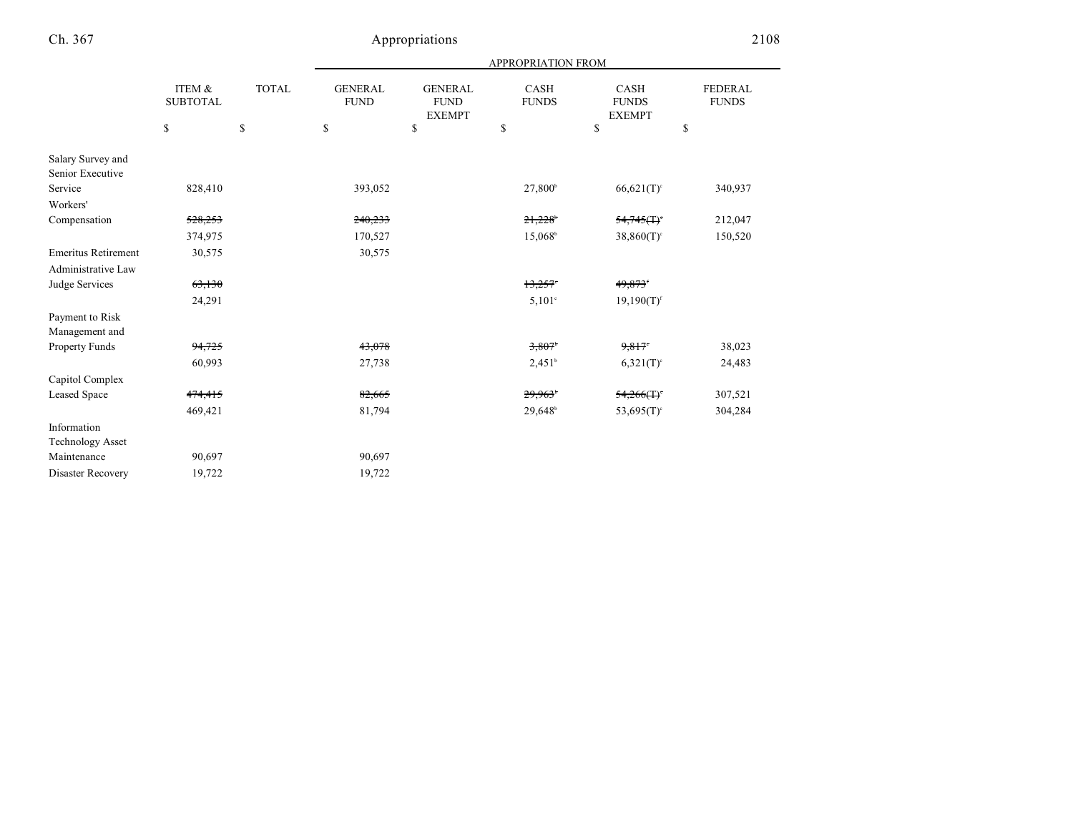| <b>FEDERAL</b> |
|----------------|
| <b>FUNDS</b>   |
|                |
|                |
| 340,937        |
|                |
| 212,047        |
| 150,520        |
|                |
|                |
|                |
|                |
|                |
| 38,023         |
| 24,483         |
|                |
| 307,521        |
| 304,284        |
|                |
|                |
|                |
|                |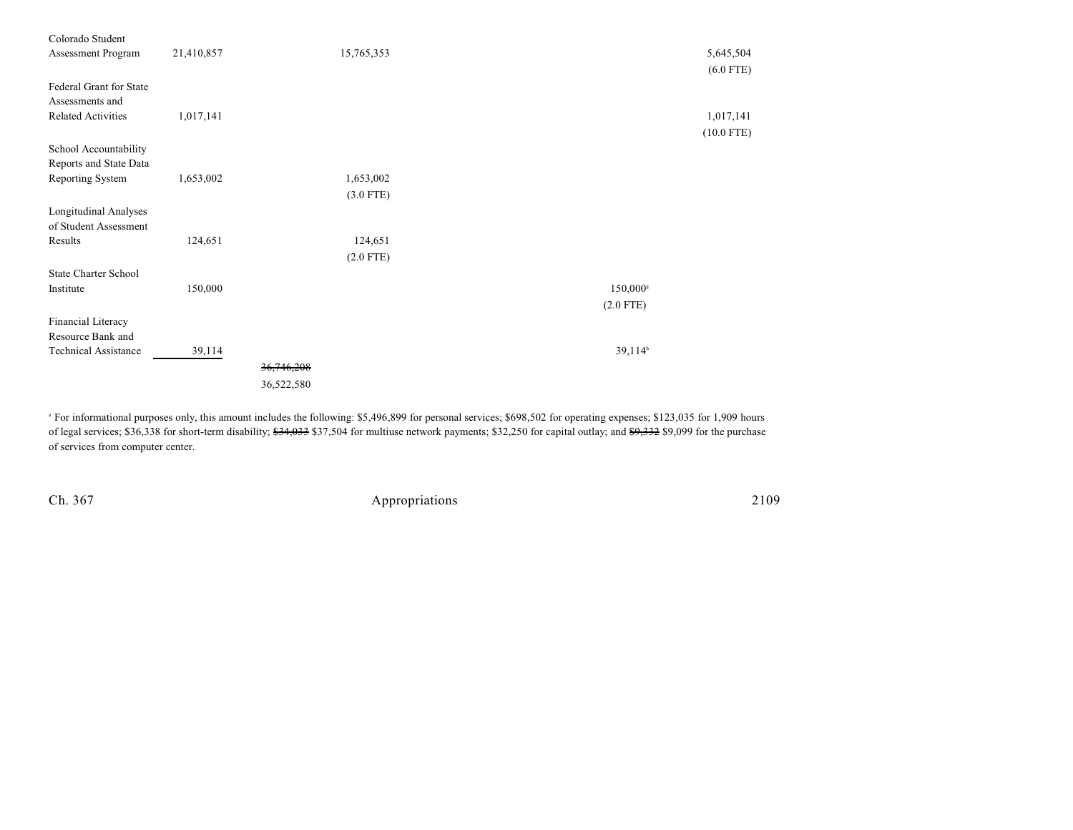| Colorado Student<br>Assessment Program                | 21,410,857 | 15,765,353  |                     | 5,645,504<br>$(6.0$ FTE)  |
|-------------------------------------------------------|------------|-------------|---------------------|---------------------------|
| Federal Grant for State<br>Assessments and            |            |             |                     |                           |
| <b>Related Activities</b>                             | 1,017,141  |             |                     | 1,017,141<br>$(10.0$ FTE) |
| School Accountability<br>Reports and State Data       |            |             |                     |                           |
| Reporting System                                      | 1,653,002  | 1,653,002   |                     |                           |
|                                                       |            | $(3.0$ FTE) |                     |                           |
| <b>Longitudinal Analyses</b><br>of Student Assessment |            |             |                     |                           |
| Results                                               | 124,651    | 124,651     |                     |                           |
|                                                       |            | $(2.0$ FTE) |                     |                           |
| <b>State Charter School</b>                           |            |             |                     |                           |
| Institute                                             | 150,000    |             | 150,000s            |                           |
|                                                       |            |             | $(2.0$ FTE)         |                           |
| Financial Literacy                                    |            |             |                     |                           |
| Resource Bank and                                     |            |             |                     |                           |
| <b>Technical Assistance</b>                           | 39,114     |             | 39,114 <sup>h</sup> |                           |
|                                                       |            | 36,746,208  |                     |                           |
|                                                       |            | 36,522,580  |                     |                           |

<sup>a</sup> For informational purposes only, this amount includes the following: \$5,496,899 for personal services; \$698,502 for operating expenses; \$123,035 for 1,909 hours of legal services; \$36,338 for short-term disability; <del>\$34,033</del> \$37,504 for multiuse network payments; \$32,250 for capital outlay; and <del>\$9,332</del> \$9,099 for the purchase of services from computer center.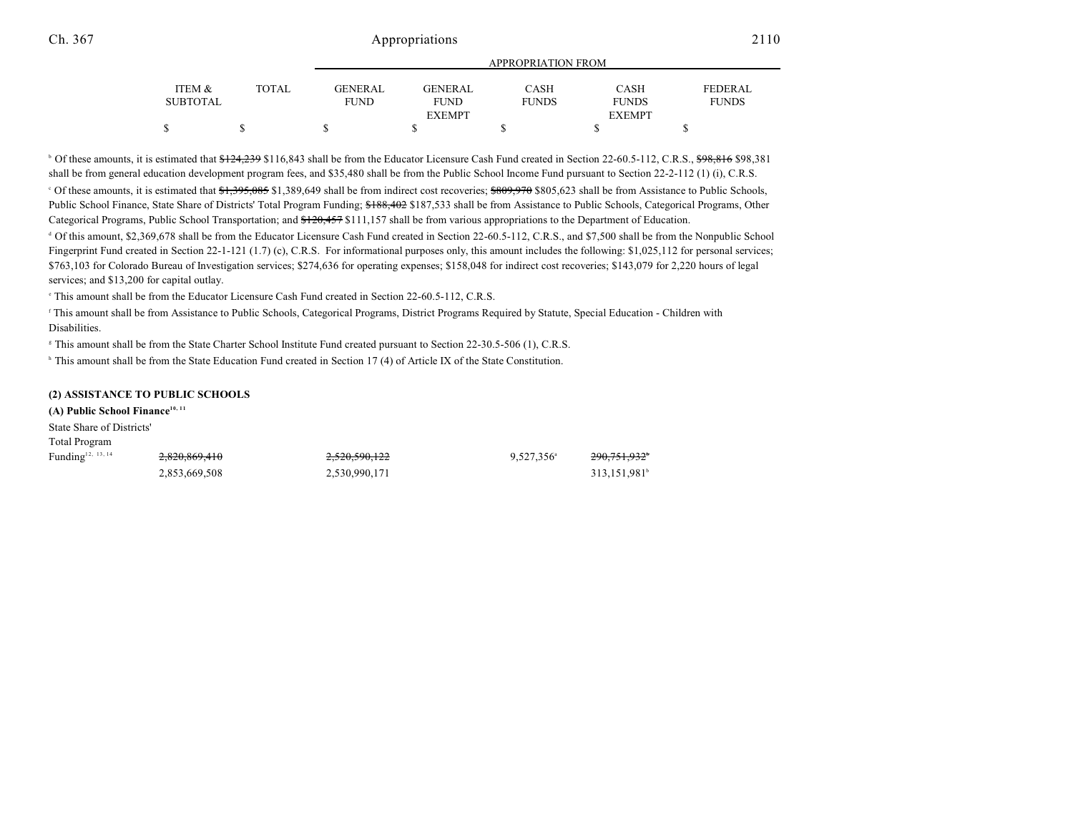#### Ch. 367 2110

|                 |       |                | APPROPRIATION FROM |              |               |              |  |  |
|-----------------|-------|----------------|--------------------|--------------|---------------|--------------|--|--|
|                 |       |                |                    |              |               |              |  |  |
| ITEM &          | TOTAL | <b>GENERAL</b> | <b>GENERAL</b>     | CASH         | <b>CASH</b>   | FEDERAL      |  |  |
| <b>SUBTOTAL</b> |       | <b>FUND</b>    | <b>FUND</b>        | <b>FUNDS</b> | <b>FUNDS</b>  | <b>FUNDS</b> |  |  |
|                 |       |                | <b>EXEMPT</b>      |              | <b>EXEMPT</b> |              |  |  |
|                 |       |                |                    |              |               |              |  |  |
|                 |       |                |                    |              |               |              |  |  |

<sup>b</sup> Of these amounts, it is estimated that  $\frac{124,239}{16,843}$  shall be from the Educator Licensure Cash Fund created in Section 22-60.5-112, C.R.S.,  $\frac{698,816}{16,816}$  \$98,381 shall be from general education development program fees, and \$35,480 shall be from the Public School Income Fund pursuant to Section 22-2-112 (1) (i), C.R.S. <sup>o</sup> Of these amounts, it is estimated that <del>\$1,395,085</del> \$1,389,649 shall be from indirect cost recoveries: \$809,970 \$805,623 shall be from Assistance to Public Schools, Public School Finance, State Share of Districts' Total Program Funding; \$188,402 \$187,533 shall be from Assistance to Public Schools, Categorical Programs, Other Categorical Programs, Public School Transportation; and \$120,457 \$111,157 shall be from various appropriations to the Department of Education.

<sup>d</sup> Of this amount, \$2,369,678 shall be from the Educator Licensure Cash Fund created in Section 22-60.5-112, C.R.S., and \$7,500 shall be from the Nonpublic School Fingerprint Fund created in Section 22-1-121 (1.7) (c), C.R.S. For informational purposes only, this amount includes the following: \$1,025,112 for personal services; \$763,103 for Colorado Bureau of Investigation services; \$274,636 for operating expenses; \$158,048 for indirect cost recoveries; \$143,079 for 2,220 hours of legal services; and \$13,200 for capital outlay.

 $\degree$  This amount shall be from the Educator Licensure Cash Fund created in Section 22-60.5-112, C.R.S.

 This amount shall be from Assistance to Public Schools, Categorical Programs, District Programs Required by Statute, Special Education - Children with f Disabilities.

<sup>8</sup> This amount shall be from the State Charter School Institute Fund created pursuant to Section 22-30.5-506 (1), C.R.S.

 $\frac{1}{2}$  This amount shall be from the State Education Fund created in Section 17 (4) of Article IX of the State Constitution.

#### **(2) ASSISTANCE TO PUBLIC SCHOOLS**

**(A) Public School Finance10, 11** State Share of Districts' Total Program Funding <sup>12, 13, 14</sup> 2<del>,820,869,410</del> 2,<del>520,590,122</del> 9,527,356 290,751,932 200,751,932

2,853,669,508 2,530,990,171 313,151,981<sup>b</sup>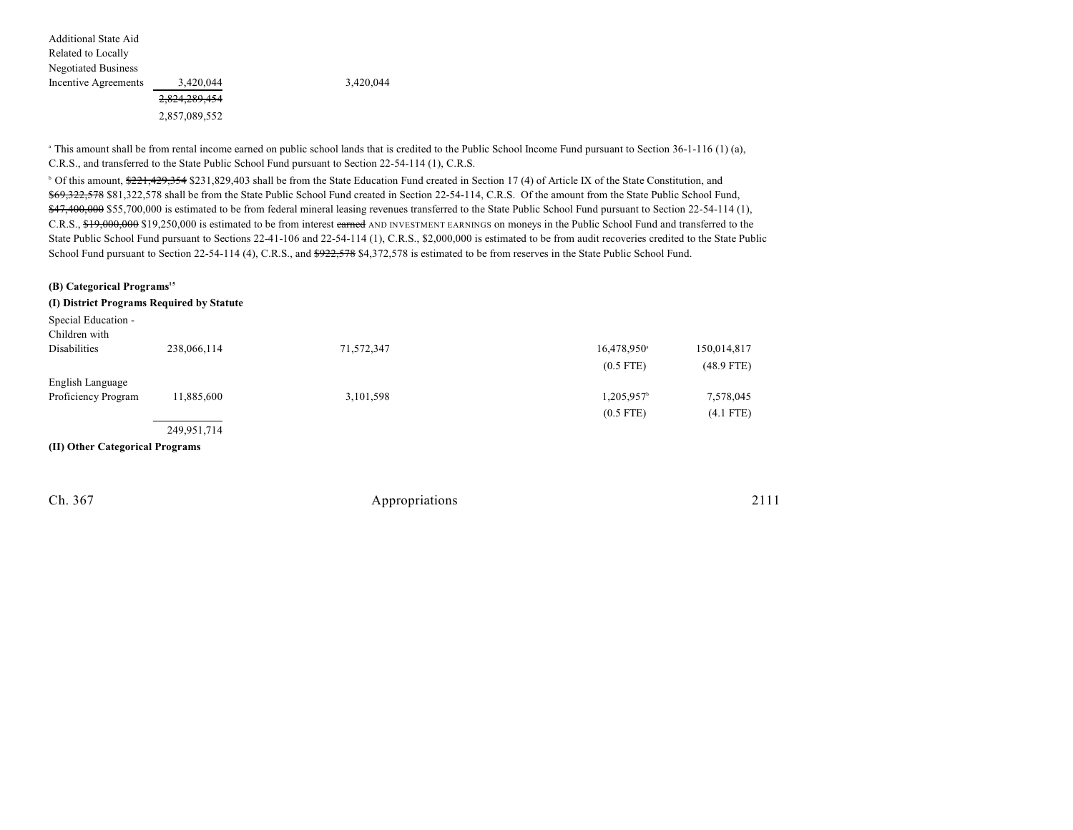| Additional State Aid       |               |  |
|----------------------------|---------------|--|
| Related to Locally         |               |  |
| <b>Negotiated Business</b> |               |  |
| Incentive Agreements       | 3,420,044     |  |
|                            | 2,824,289,454 |  |
|                            | 2,857,089,552 |  |

Incentive Agreements 3,420,044 3,420,044

<sup>a</sup> This amount shall be from rental income earned on public school lands that is credited to the Public School Income Fund pursuant to Section 36-1-116 (1) (a), C.R.S., and transferred to the State Public School Fund pursuant to Section 22-54-114 (1), C.R.S.

<sup>b</sup> Of this amount, \$221,429,354 \$231,829,403 shall be from the State Education Fund created in Section 17 (4) of Article IX of the State Constitution, and \$69,322,578 \$81,322,578 shall be from the State Public School Fund created in Section 22-54-114, C.R.S. Of the amount from the State Public School Fund, \$47,400,000 \$55,700,000 is estimated to be from federal mineral leasing revenues transferred to the State Public School Fund pursuant to Section 22-54-114 (1), C.R.S., \$19,000,000 \$19,250,000 is estimated to be from interest earned AND INVESTMENT EARNINGS on moneys in the Public School Fund and transferred to the State Public School Fund pursuant to Sections 22-41-106 and 22-54-114 (1), C.R.S., \$2,000,000 is estimated to be from audit recoveries credited to the State Public School Fund pursuant to Section 22-54-114 (4), C.R.S., and \$922, 578 \$4,372,578 is estimated to be from reserves in the State Public School Fund.

### **(B) Categorical Programs<sup>15</sup> (I) District Programs Required by Statute**

| Special Education -             |             |            |                         |              |
|---------------------------------|-------------|------------|-------------------------|--------------|
| Children with                   |             |            |                         |              |
| <b>Disabilities</b>             | 238,066,114 | 71,572,347 | 16,478,950 <sup>a</sup> | 150,014,817  |
|                                 |             |            | $(0.5$ FTE)             | $(48.9$ FTE) |
| English Language                |             |            |                         |              |
| Proficiency Program             | 11,885,600  | 3,101,598  | 1,205,957 <sup>b</sup>  | 7,578,045    |
|                                 |             |            | $(0.5$ FTE)             | $(4.1$ FTE)  |
|                                 | 249,951,714 |            |                         |              |
| (II) Other Categorical Programs |             |            |                         |              |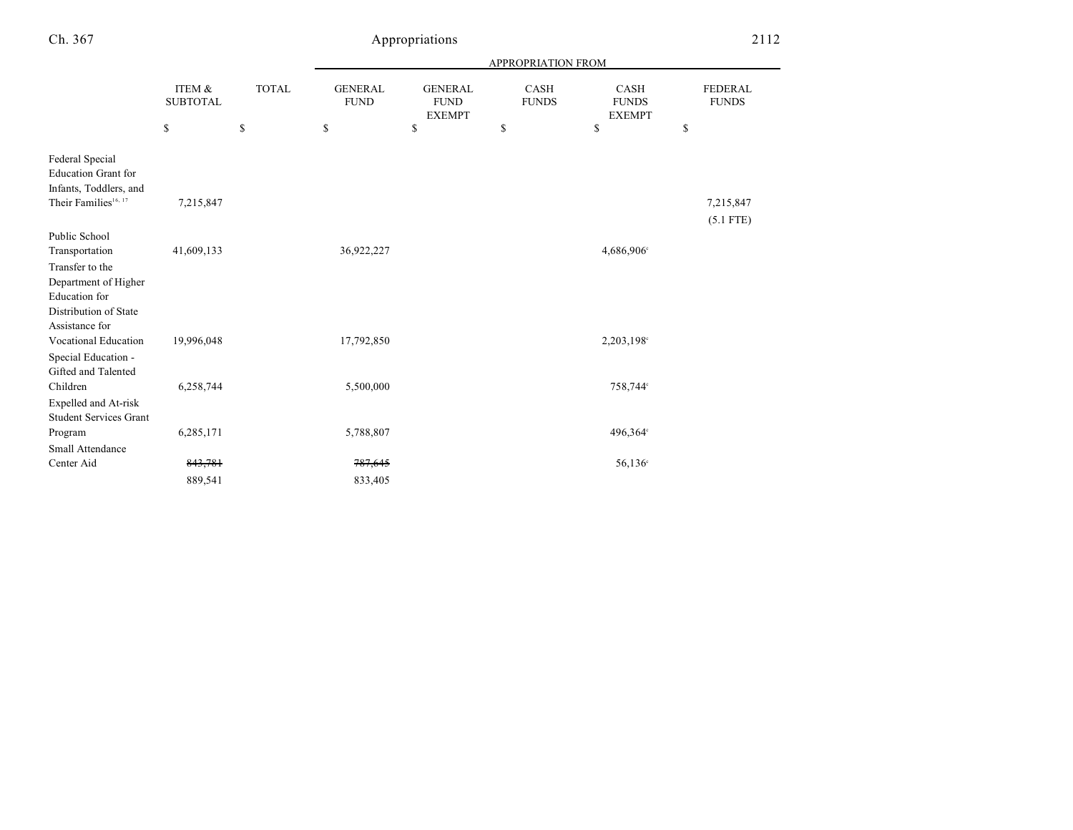# Appropriations 2112

|                                                                                                             |                           |              |                                |                                                | APPROPRIATION FROM   |                                              |                                |
|-------------------------------------------------------------------------------------------------------------|---------------------------|--------------|--------------------------------|------------------------------------------------|----------------------|----------------------------------------------|--------------------------------|
|                                                                                                             | ITEM &<br><b>SUBTOTAL</b> | <b>TOTAL</b> | <b>GENERAL</b><br>${\rm FUND}$ | <b>GENERAL</b><br><b>FUND</b><br><b>EXEMPT</b> | CASH<br><b>FUNDS</b> | <b>CASH</b><br><b>FUNDS</b><br><b>EXEMPT</b> | <b>FEDERAL</b><br><b>FUNDS</b> |
|                                                                                                             | \$                        | \$           | \$                             | \$                                             | \$                   | \$                                           | \$                             |
| Federal Special<br><b>Education Grant for</b><br>Infants, Toddlers, and<br>Their Families <sup>16, 17</sup> | 7,215,847                 |              |                                |                                                |                      |                                              | 7,215,847<br>$(5.1$ FTE)       |
| Public School                                                                                               |                           |              |                                |                                                |                      |                                              |                                |
| Transportation                                                                                              | 41,609,133                |              | 36,922,227                     |                                                |                      | 4,686,906°                                   |                                |
| Transfer to the<br>Department of Higher                                                                     |                           |              |                                |                                                |                      |                                              |                                |
| <b>Education</b> for<br>Distribution of State                                                               |                           |              |                                |                                                |                      |                                              |                                |
| Assistance for                                                                                              |                           |              |                                |                                                |                      |                                              |                                |
| Vocational Education                                                                                        | 19,996,048                |              | 17,792,850                     |                                                |                      | 2,203,198°                                   |                                |
| Special Education -                                                                                         |                           |              |                                |                                                |                      |                                              |                                |
| Gifted and Talented                                                                                         |                           |              |                                |                                                |                      |                                              |                                |
| Children                                                                                                    | 6,258,744                 |              | 5,500,000                      |                                                |                      | 758,744°                                     |                                |
| Expelled and At-risk<br><b>Student Services Grant</b>                                                       |                           |              |                                |                                                |                      |                                              |                                |
| Program                                                                                                     | 6,285,171                 |              | 5,788,807                      |                                                |                      | 496,364°                                     |                                |
| Small Attendance                                                                                            |                           |              |                                |                                                |                      |                                              |                                |
| Center Aid                                                                                                  | 843,781                   |              | 787,645                        |                                                |                      | 56,136 <sup>c</sup>                          |                                |
|                                                                                                             | 889,541                   |              | 833,405                        |                                                |                      |                                              |                                |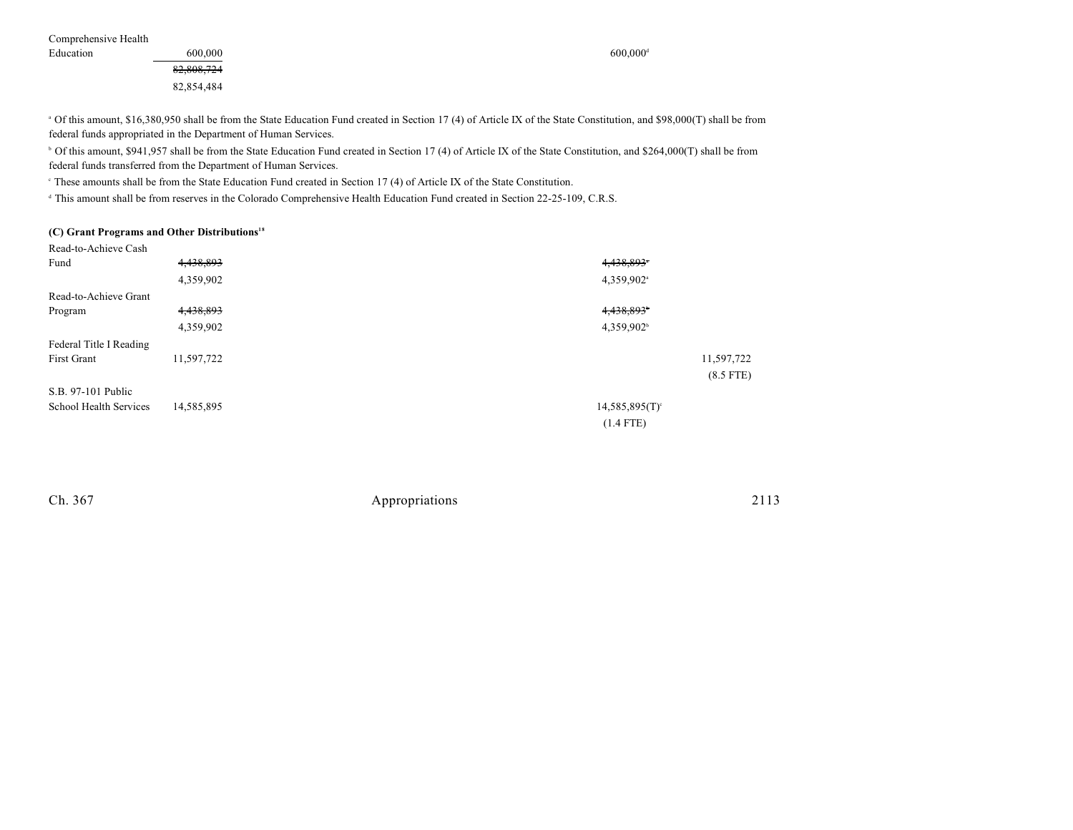Comprehensive Health

Education 600,000 600,000 600,000 600,000 600,000 600,000 600,000 600,000 600,000 600,000 600,000 600,000 600,000 600,000 600,000 600,000 600,000 600,000 600,000 600,000 600,000 600,000 600,000 600,000 600,000 600,000 600 82,808,724 82,854,484

<sup>a</sup> Of this amount, \$16,380,950 shall be from the State Education Fund created in Section 17 (4) of Article IX of the State Constitution, and \$98,000(T) shall be from federal funds appropriated in the Department of Human Services.

<sup>b</sup> Of this amount, \$941,957 shall be from the State Education Fund created in Section 17 (4) of Article IX of the State Constitution, and \$264,000(T) shall be from federal funds transferred from the Department of Human Services.

<sup>c</sup> These amounts shall be from the State Education Fund created in Section 17 (4) of Article IX of the State Constitution.

<sup>d</sup> This amount shall be from reserves in the Colorado Comprehensive Health Education Fund created in Section 22-25-109, C.R.S.

#### **(C) Grant Programs and Other Distributions 18**

| Read-to-Achieve Cash    |            |                              |
|-------------------------|------------|------------------------------|
| Fund                    | 4,438,893  | 4,438,893*                   |
|                         | 4,359,902  | 4,359,902 <sup>a</sup>       |
| Read-to-Achieve Grant   |            |                              |
| Program                 | 4,438,893  | 4,438,893                    |
|                         | 4,359,902  | 4,359,902 <sup>b</sup>       |
| Federal Title I Reading |            |                              |
| <b>First Grant</b>      | 11,597,722 | 11,597,722                   |
|                         |            | $(8.5$ FTE)                  |
| S.B. 97-101 Public      |            |                              |
| School Health Services  | 14,585,895 | $14,585,895(T)$ <sup>c</sup> |
|                         |            | $(1.4$ FTE)                  |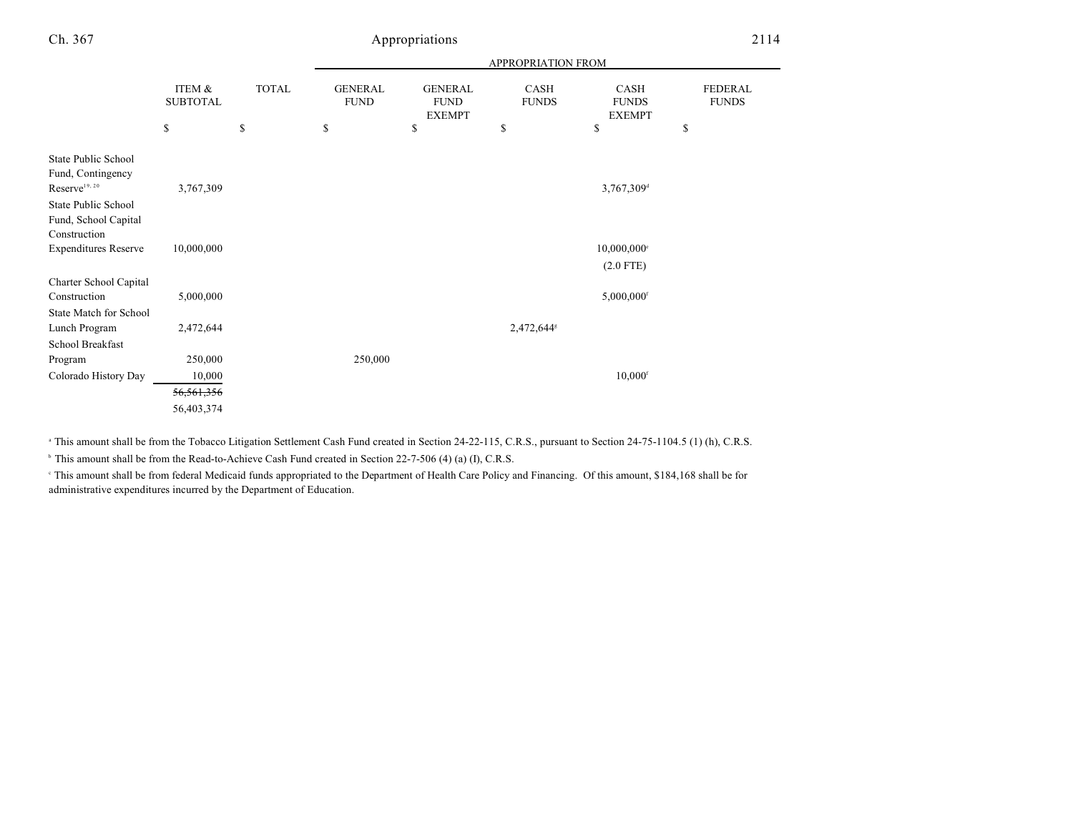### Ch. 367 Appropriations 2114

|                                                                       |                           |              |                               |                                                | APPROPRIATION FROM   |                                       |                                |
|-----------------------------------------------------------------------|---------------------------|--------------|-------------------------------|------------------------------------------------|----------------------|---------------------------------------|--------------------------------|
|                                                                       | ITEM &<br><b>SUBTOTAL</b> | <b>TOTAL</b> | <b>GENERAL</b><br><b>FUND</b> | <b>GENERAL</b><br><b>FUND</b><br><b>EXEMPT</b> | CASH<br><b>FUNDS</b> | CASH<br><b>FUNDS</b><br><b>EXEMPT</b> | <b>FEDERAL</b><br><b>FUNDS</b> |
|                                                                       | \$                        | \$           | \$                            | \$                                             | \$                   | \$                                    | \$                             |
| State Public School<br>Fund, Contingency<br>Reserve <sup>19, 20</sup> | 3,767,309                 |              |                               |                                                |                      | 3,767,309 <sup>d</sup>                |                                |
| State Public School                                                   |                           |              |                               |                                                |                      |                                       |                                |
| Fund, School Capital<br>Construction                                  |                           |              |                               |                                                |                      |                                       |                                |
| <b>Expenditures Reserve</b>                                           | 10,000,000                |              |                               |                                                |                      | $10,000,000$ <sup>e</sup>             |                                |
|                                                                       |                           |              |                               |                                                |                      | $(2.0$ FTE)                           |                                |
| Charter School Capital                                                |                           |              |                               |                                                |                      |                                       |                                |
| Construction                                                          | 5,000,000                 |              |                               |                                                |                      | $5,000,000$ <sup>f</sup>              |                                |
| State Match for School                                                |                           |              |                               |                                                |                      |                                       |                                |
| Lunch Program                                                         | 2,472,644                 |              |                               |                                                | 2,472,644*           |                                       |                                |
| School Breakfast                                                      |                           |              |                               |                                                |                      |                                       |                                |
| Program                                                               | 250,000                   |              | 250,000                       |                                                |                      |                                       |                                |
| Colorado History Day                                                  | 10,000                    |              |                               |                                                |                      | $10,000$ <sup>f</sup>                 |                                |
|                                                                       | 56,561,356                |              |                               |                                                |                      |                                       |                                |
|                                                                       | 56,403,374                |              |                               |                                                |                      |                                       |                                |

<sup>a</sup> This amount shall be from the Tobacco Litigation Settlement Cash Fund created in Section 24-22-115, C.R.S., pursuant to Section 24-75-1104.5 (1) (h), C.R.S.

<sup>b</sup> This amount shall be from the Read-to-Achieve Cash Fund created in Section 22-7-506 (4) (a) (I), C.R.S.

This amount shall be from federal Medicaid funds appropriated to the Department of Health Care Policy and Financing. Of this amount, \$184,168 shall be for administrative expenditures incurred by the Department of Education.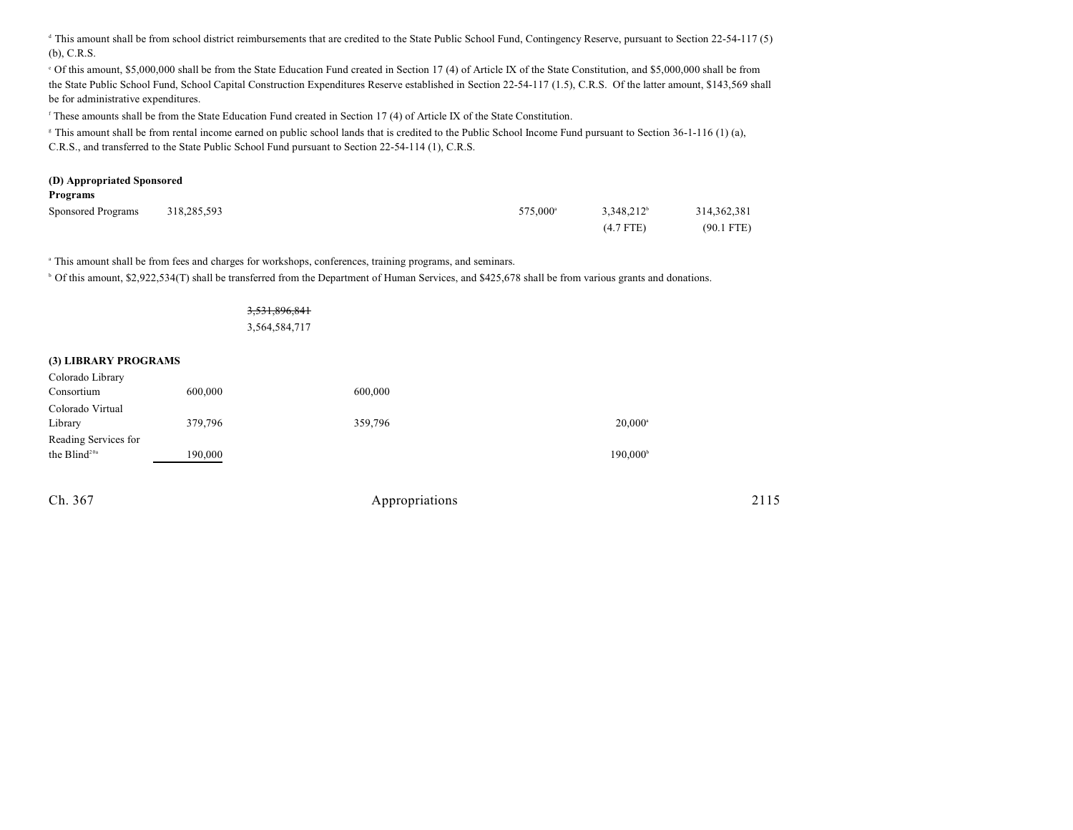<sup>d</sup> This amount shall be from school district reimbursements that are credited to the State Public School Fund, Contingency Reserve, pursuant to Section 22-54-117 (5) (b), C.R.S.

of this amount, \$5,000,000 shall be from the State Education Fund created in Section 17 (4) of Article IX of the State Constitution, and \$5,000,000 shall be from the State Public School Fund, School Capital Construction Expenditures Reserve established in Section 22-54-117 (1.5), C.R.S. Of the latter amount, \$143,569 shall be for administrative expenditures.

<sup>f</sup> These amounts shall be from the State Education Fund created in Section 17 (4) of Article IX of the State Constitution.

<sup>8</sup> This amount shall be from rental income earned on public school lands that is credited to the Public School Income Fund pursuant to Section 36-1-116 (1) (a), C.R.S., and transferred to the State Public School Fund pursuant to Section 22-54-114 (1), C.R.S.

# **(D) Appropriated Sponsored**

| Programs |
|----------|
|----------|

| Sponsored Programs | 318,285,593 | 575,000 <sup>a</sup> | $3,348,212^b$ | 314, 362, 381 |
|--------------------|-------------|----------------------|---------------|---------------|
|                    |             |                      | $(4.7$ FTE)   | $(90.1$ FTE)  |

<sup>a</sup> This amount shall be from fees and charges for workshops, conferences, training programs, and seminars.

<sup>b</sup> Of this amount, \$2,922,534(T) shall be transferred from the Department of Human Services, and \$425,678 shall be from various grants and donations.

### 3,531,896,841

3,564,584,717

#### **(3) LIBRARY PROGRAMS**

| Colorado Library         |         |         |                      |
|--------------------------|---------|---------|----------------------|
| Consortium               | 600,000 | 600,000 |                      |
| Colorado Virtual         |         |         |                      |
| Library                  | 379,796 | 359,796 | $20,000^a$           |
| Reading Services for     |         |         |                      |
| the Blind <sup>20a</sup> | 190,000 |         | 190,000 <sup>b</sup> |
|                          |         |         |                      |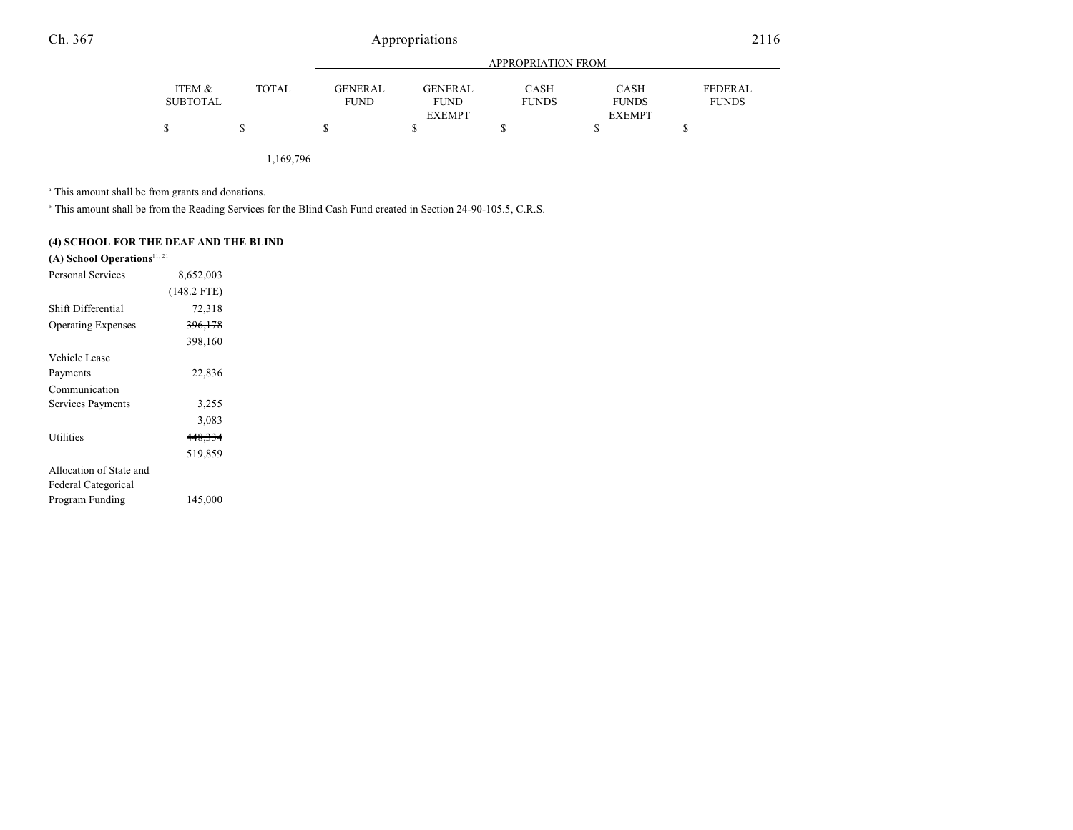# Ch. 367 Appropriations 2116

|              | APPROPRIATION FROM |               |             |               |                                |
|--------------|--------------------|---------------|-------------|---------------|--------------------------------|
| <b>TOTAL</b> | <b>GENERAL</b>     | GENERAL       | <b>CASH</b> | <b>CASH</b>   | <b>FEDERAL</b><br><b>FUNDS</b> |
|              |                    | <b>EXEMPT</b> |             | <b>EXEMPT</b> |                                |
|              |                    |               |             |               |                                |
|              |                    | <b>FUND</b>   | <b>FUND</b> | <b>FUNDS</b>  | <b>FUNDS</b>                   |

1,169,796

<sup>a</sup> This amount shall be from grants and donations.

<sup>b</sup> This amount shall be from the Reading Services for the Blind Cash Fund created in Section 24-90-105.5, C.R.S.

### **(4) SCHOOL FOR THE DEAF AND THE BLIND**

### **(A) School Operations**11, 21

| Personal Services         | 8,652,003          |  |
|---------------------------|--------------------|--|
|                           | $(148.2$ FTE)      |  |
| Shift Differential        | 72,318             |  |
| <b>Operating Expenses</b> | <del>396,178</del> |  |
|                           | 398,160            |  |
| Vehicle Lease             |                    |  |
| Payments                  | 22,836             |  |
| Communication             |                    |  |
| Services Payments         | <del>3,255</del>   |  |
|                           | 3,083              |  |
| Utilities                 | 448,334            |  |
|                           | 519,859            |  |
| Allocation of State and   |                    |  |
| Federal Categorical       |                    |  |
| Program Funding           | 145,000            |  |
|                           |                    |  |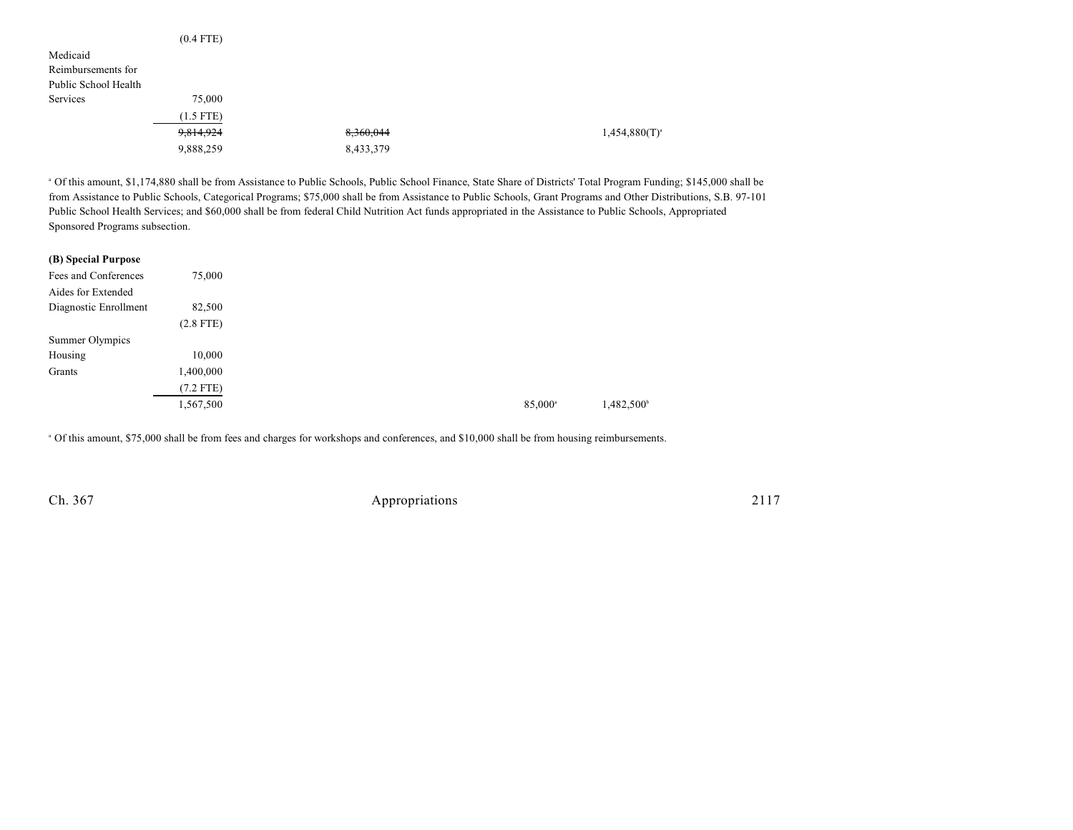|                      | $(0.4$ FTE) |           |                    |
|----------------------|-------------|-----------|--------------------|
| Medicaid             |             |           |                    |
| Reimbursements for   |             |           |                    |
| Public School Health |             |           |                    |
| Services             | 75,000      |           |                    |
|                      | $(1.5$ FTE) |           |                    |
|                      | 9,814,924   | 8,360,044 | $1,454,880(T)^{a}$ |
|                      | 9,888,259   | 8,433,379 |                    |

 Of this amount, \$1,174,880 shall be from Assistance to Public Schools, Public School Finance, State Share of Districts' Total Program Funding; \$145,000 shall be <sup>a</sup> from Assistance to Public Schools, Categorical Programs; \$75,000 shall be from Assistance to Public Schools, Grant Programs and Other Distributions, S.B. 97-101 Public School Health Services; and \$60,000 shall be from federal Child Nutrition Act funds appropriated in the Assistance to Public Schools, Appropriated Sponsored Programs subsection.

| (B) Special Purpose   |             |
|-----------------------|-------------|
| Fees and Conferences  | 75,000      |
| Aides for Extended    |             |
| Diagnostic Enrollment | 82,500      |
|                       | $(2.8$ FTE) |
| Summer Olympics       |             |
| Housing               | 10,000      |
| Grants                | 1,400,000   |
|                       | $(7.2$ FTE) |
|                       | 1,567,500   |
|                       |             |

Of this amount, \$75,000 shall be from fees and charges for workshops and conferences, and \$10,000 shall be from housing reimbursements. <sup>a</sup>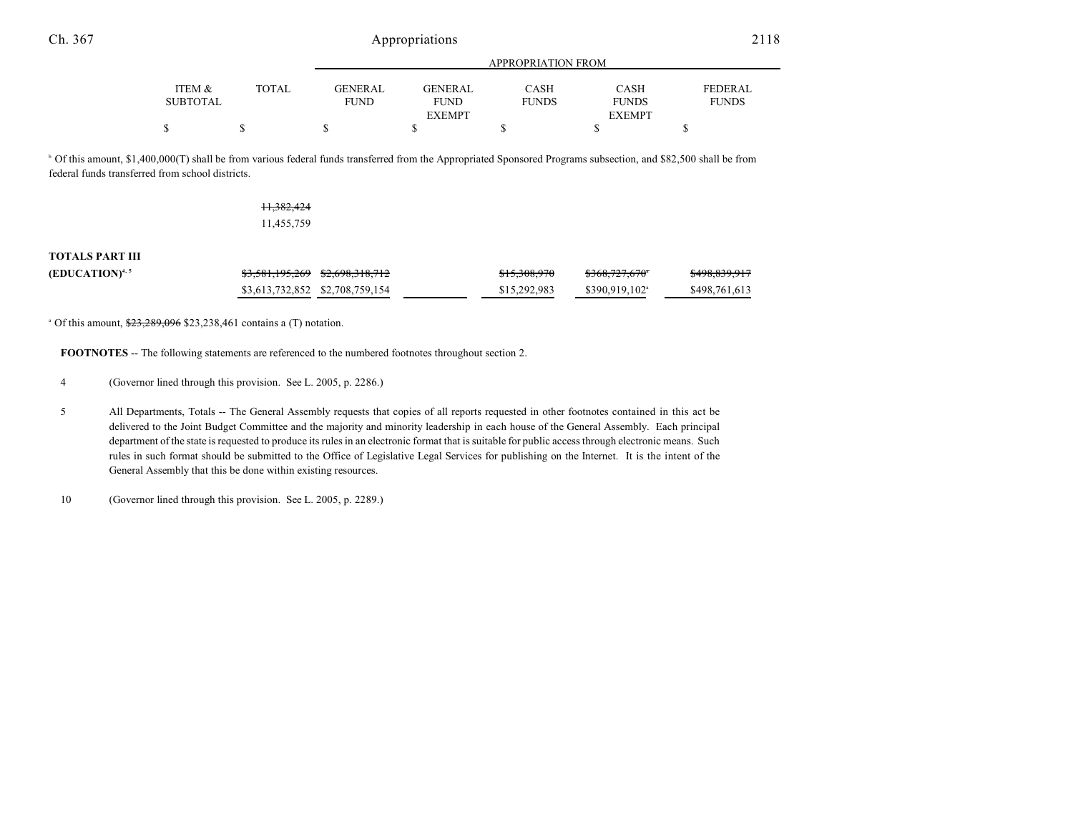|                 |              |                | APPROPRIATION FROM |              |               |                |  |
|-----------------|--------------|----------------|--------------------|--------------|---------------|----------------|--|
| ITEM &          | <b>TOTAL</b> | <b>GENERAL</b> | <b>GENERAL</b>     | CASH         | <b>CASH</b>   | <b>FEDERAL</b> |  |
| <b>SUBTOTAL</b> |              | FUND           | <b>FUND</b>        | <b>FUNDS</b> | <b>FUNDS</b>  | <b>FUNDS</b>   |  |
|                 |              |                | <b>EXEMPT</b>      |              | <b>EXEMPT</b> |                |  |
|                 |              |                |                    |              |               |                |  |

 Of this amount, \$1,400,000(T) shall be from various federal funds transferred from the Appropriated Sponsored Programs subsection, and \$82,500 shall be from <sup>b</sup> federal funds transferred from school districts.

### 11,382,424 11,455,759

### **TOTALS PART III**

| $(EDUCATION)^{4,5}$ | <del>\$3,581,195,269</del> \$ <del>2,698,318,712</del> | 0.15,0.000070<br>0.5005770 | 0.000007670<br>5500, 727, 070 | <del>\$498,839,917</del> |
|---------------------|--------------------------------------------------------|----------------------------|-------------------------------|--------------------------|
|                     | \$3,613,732,852 \$2,708,759,154                        | \$15,292,983               | \$390,919,102 <sup>a</sup>    | \$498,761,613            |

 $^{\circ}$  Of this amount,  $\frac{$23,289,096}{$23,238,461}$  contains a (T) notation.

**FOOTNOTES** -- The following statements are referenced to the numbered footnotes throughout section 2.

4 (Governor lined through this provision. See L. 2005, p. 2286.)

5 All Departments, Totals -- The General Assembly requests that copies of all reports requested in other footnotes contained in this act be delivered to the Joint Budget Committee and the majority and minority leadership in each house of the General Assembly. Each principal department of the state is requested to produce its rules in an electronic format that is suitable for public access through electronic means. Such rules in such format should be submitted to the Office of Legislative Legal Services for publishing on the Internet. It is the intent of the General Assembly that this be done within existing resources.

10 (Governor lined through this provision. See L. 2005, p. 2289.)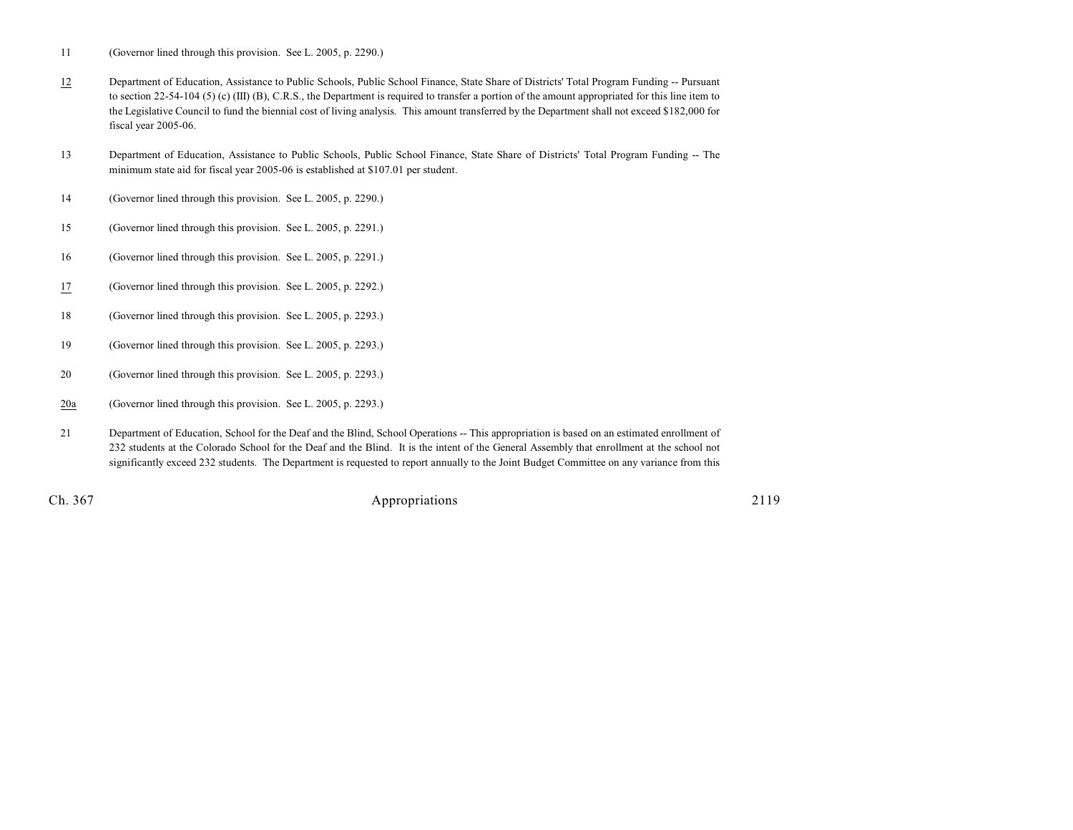11 (Governor lined through this provision. See L. 2005, p. 2290.)

- 12 Department of Education, Assistance to Public Schools, Public School Finance, State Share of Districts' Total Program Funding -- Pursuant to section 22-54-104 (5) (c) (III) (B), C.R.S., the Department is required to transfer a portion of the amount appropriated for this line item to the Legislative Council to fund the biennial cost of living analysis. This amount transferred by the Department shall not exceed \$182,000 for fiscal year 2005-06.
- 13 Department of Education, Assistance to Public Schools, Public School Finance, State Share of Districts' Total Program Funding -- The minimum state aid for fiscal year 2005-06 is established at \$107.01 per student.
- 14 (Governor lined through this provision. See L. 2005, p. 2290.)
- 15 (Governor lined through this provision. See L. 2005, p. 2291.)
- 16 (Governor lined through this provision. See L. 2005, p. 2291.)
- 17 (Governor lined through this provision. See L. 2005, p. 2292.)
- 18 (Governor lined through this provision. See L. 2005, p. 2293.)
- 19 (Governor lined through this provision. See L. 2005, p. 2293.)
- 20 (Governor lined through this provision. See L. 2005, p. 2293.)
- 20a (Governor lined through this provision. See L. 2005, p. 2293.)
- 21 Department of Education, School for the Deaf and the Blind, School Operations -- This appropriation is based on an estimated enrollment of 232 students at the Colorado School for the Deaf and the Blind. It is the intent of the General Assembly that enrollment at the school not significantly exceed 232 students. The Department is requested to report annually to the Joint Budget Committee on any variance from this